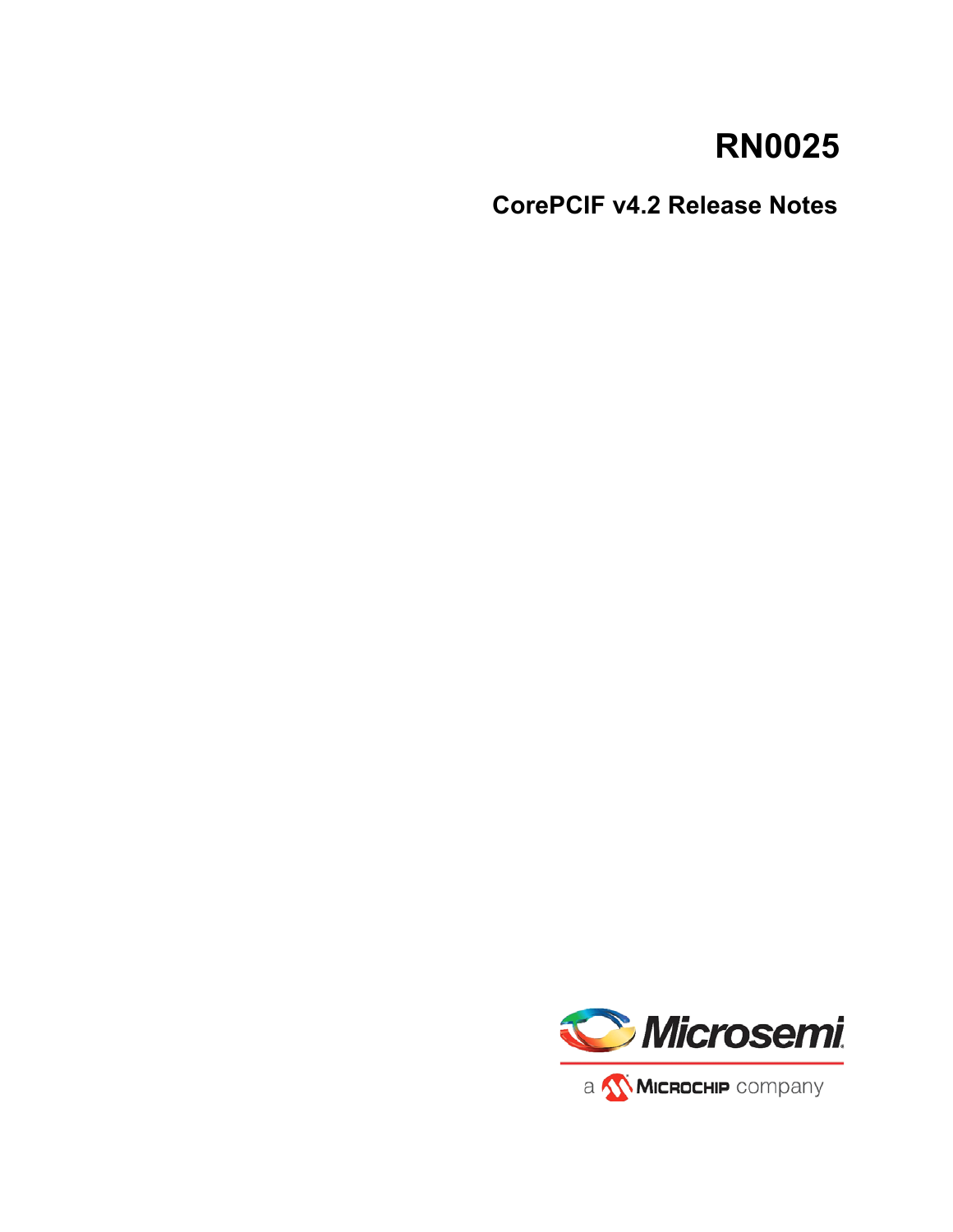# **RN0025**

**CorePCIF v4.2 Release Notes**

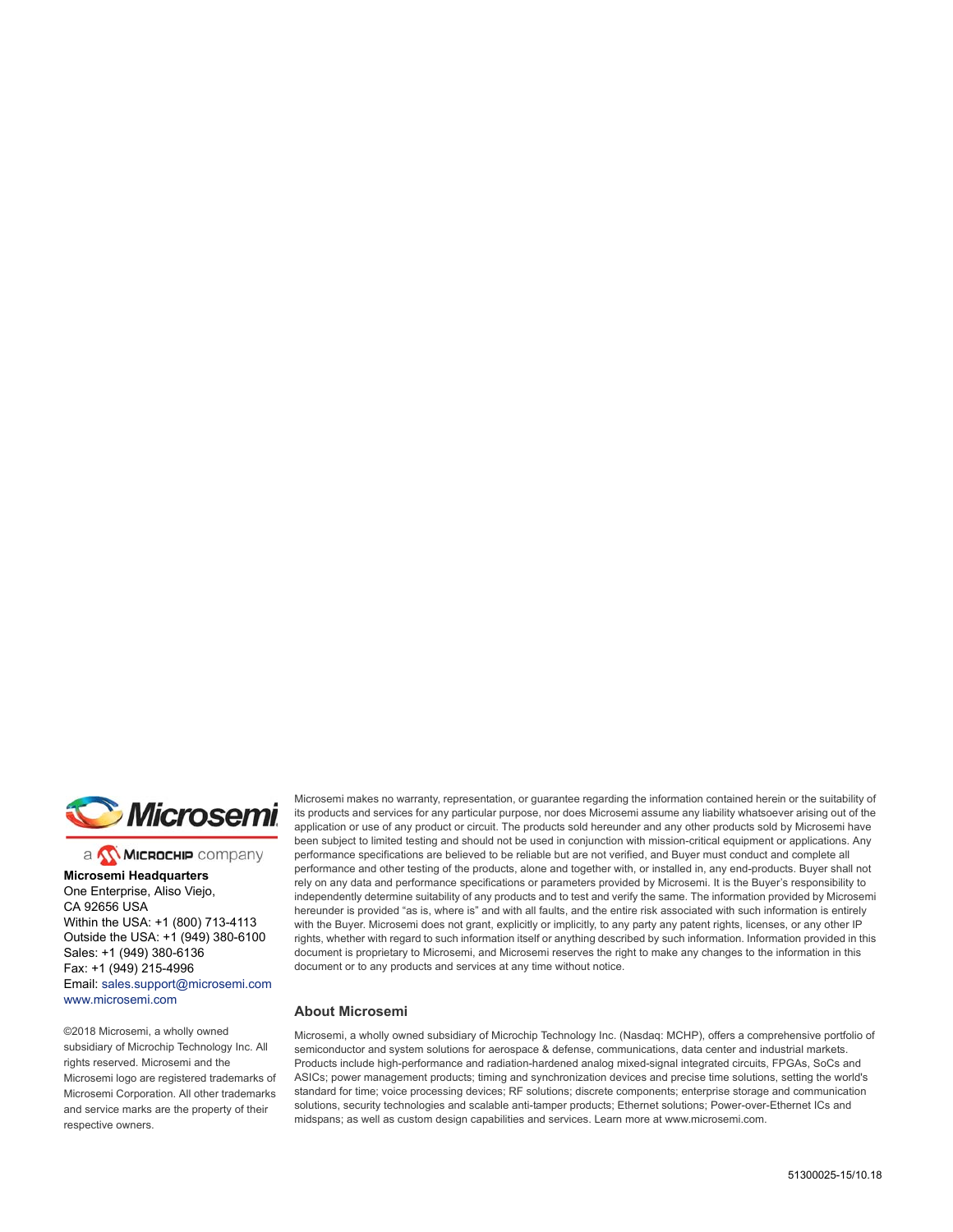

a **WIMICROCHIP** company

**Microsemi Headquarters** One Enterprise, Aliso Viejo, CA 92656 USA Within the USA: +1 (800) 713-4113 Outside the USA: +1 (949) 380-6100 Sales: +1 (949) 380-6136 Fax: +1 (949) 215-4996 Email: [sales.support@microsemi.com](mailto:sales.support@microsemi.com) [www.microsemi.com](http://www.microsemi.com)

©2018 Microsemi, a wholly owned subsidiary of Microchip Technology Inc. All rights reserved. Microsemi and the Microsemi logo are registered trademarks of Microsemi Corporation. All other trademarks and service marks are the property of their respective owners.

Microsemi makes no warranty, representation, or guarantee regarding the information contained herein or the suitability of its products and services for any particular purpose, nor does Microsemi assume any liability whatsoever arising out of the application or use of any product or circuit. The products sold hereunder and any other products sold by Microsemi have been subject to limited testing and should not be used in conjunction with mission-critical equipment or applications. Any performance specifications are believed to be reliable but are not verified, and Buyer must conduct and complete all performance and other testing of the products, alone and together with, or installed in, any end-products. Buyer shall not rely on any data and performance specifications or parameters provided by Microsemi. It is the Buyer's responsibility to independently determine suitability of any products and to test and verify the same. The information provided by Microsemi hereunder is provided "as is, where is" and with all faults, and the entire risk associated with such information is entirely with the Buyer. Microsemi does not grant, explicitly or implicitly, to any party any patent rights, licenses, or any other IP rights, whether with regard to such information itself or anything described by such information. Information provided in this document is proprietary to Microsemi, and Microsemi reserves the right to make any changes to the information in this document or to any products and services at any time without notice.

#### **About Microsemi**

Microsemi, a wholly owned subsidiary of Microchip Technology Inc. (Nasdaq: MCHP), offers a comprehensive portfolio of semiconductor and system solutions for aerospace & defense, communications, data center and industrial markets. Products include high-performance and radiation-hardened analog mixed-signal integrated circuits, FPGAs, SoCs and ASICs; power management products; timing and synchronization devices and precise time solutions, setting the world's standard for time; voice processing devices; RF solutions; discrete components; enterprise storage and communication solutions, security technologies and scalable anti-tamper products; Ethernet solutions; Power-over-Ethernet ICs and midspans; as well as custom design capabilities and services. Learn more at www.microsemi.com.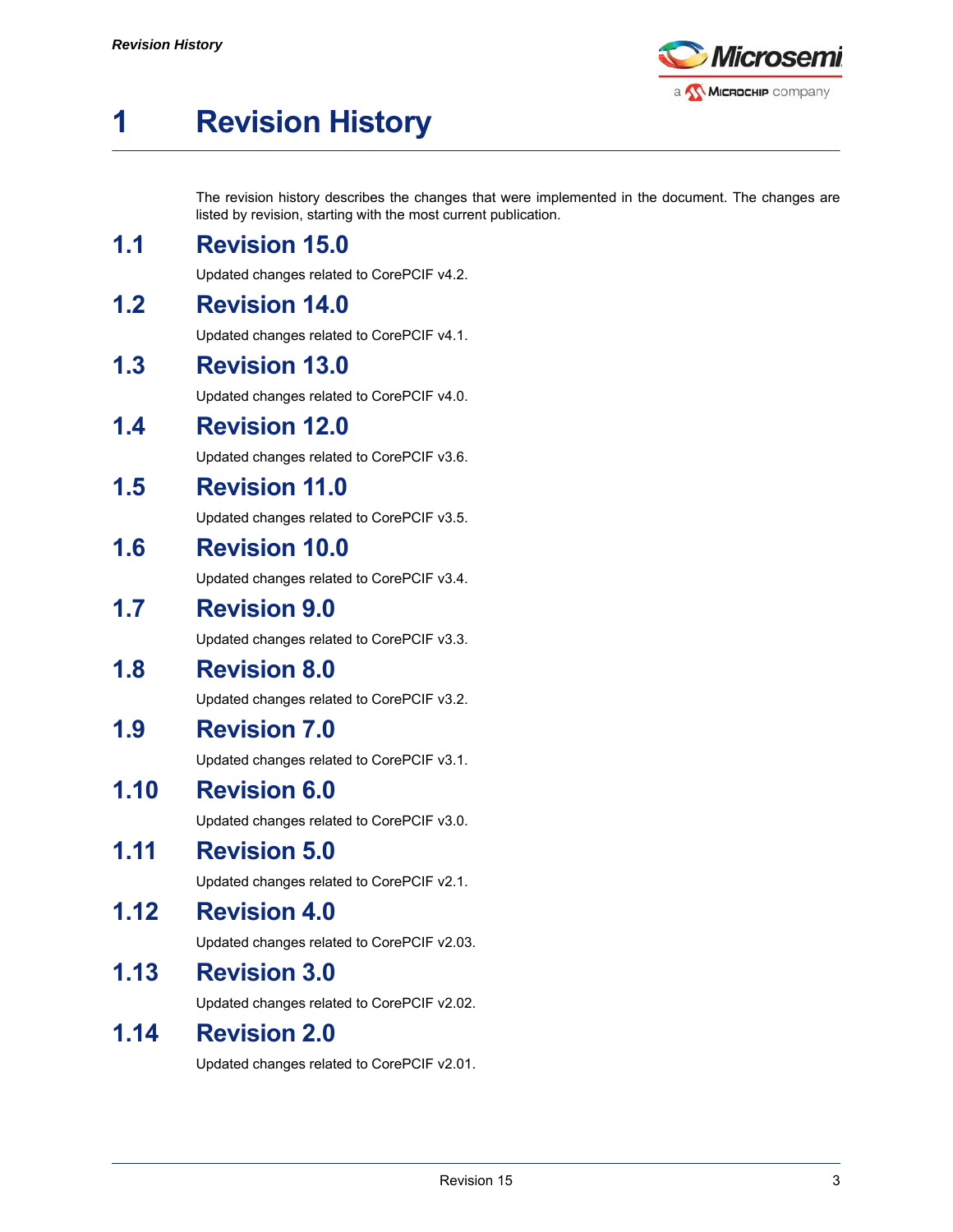

# <span id="page-2-0"></span>**1 Revision History**

The revision history describes the changes that were implemented in the document. The changes are listed by revision, starting with the most current publication.

## <span id="page-2-1"></span>**1.1 Revision 15.0**

Updated changes related to CorePCIF v4.2.

## <span id="page-2-2"></span>**1.2 Revision 14.0**

Updated changes related to CorePCIF v4.1.

## <span id="page-2-3"></span>**1.3 Revision 13.0**

Updated changes related to CorePCIF v4.0.

### <span id="page-2-4"></span>**1.4 Revision 12.0**

Updated changes related to CorePCIF v3.6.

## <span id="page-2-5"></span>**1.5 Revision 11.0**

Updated changes related to CorePCIF v3.5.

## <span id="page-2-6"></span>**1.6 Revision 10.0**

Updated changes related to CorePCIF v3.4.

## <span id="page-2-7"></span>**1.7 Revision 9.0**

Updated changes related to CorePCIF v3.3.

## <span id="page-2-8"></span>**1.8 Revision 8.0**

Updated changes related to CorePCIF v3.2.

## <span id="page-2-9"></span>**1.9 Revision 7.0**

Updated changes related to CorePCIF v3.1.

## <span id="page-2-10"></span>**1.10 Revision 6.0**

Updated changes related to CorePCIF v3.0.

## <span id="page-2-11"></span>**1.11 Revision 5.0**

Updated changes related to CorePCIF v2.1.

## <span id="page-2-12"></span>**1.12 Revision 4.0**

Updated changes related to CorePCIF v2.03.

## <span id="page-2-13"></span>**1.13 Revision 3.0**

Updated changes related to CorePCIF v2.02.

## <span id="page-2-14"></span>**1.14 Revision 2.0**

Updated changes related to CorePCIF v2.01.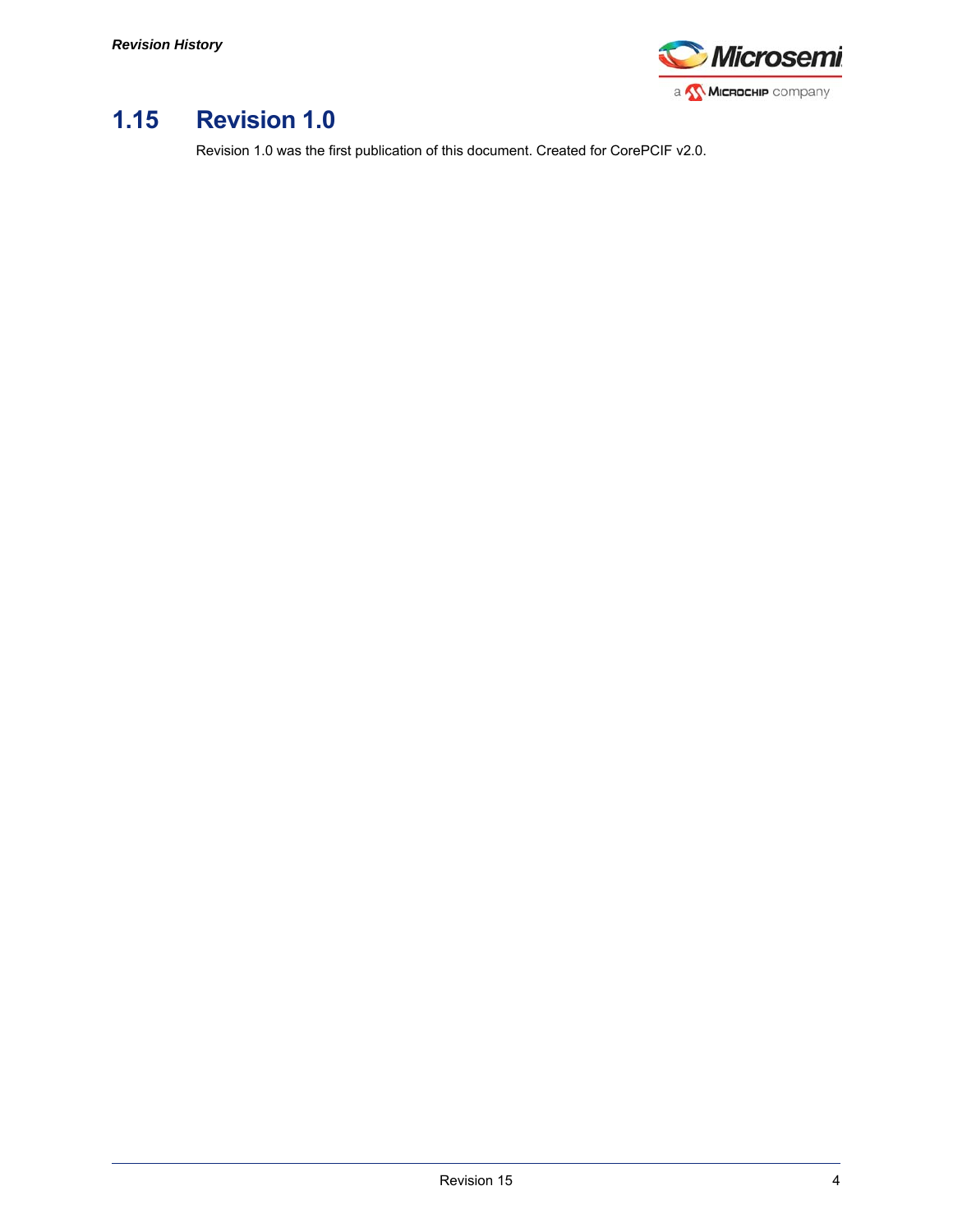

## <span id="page-3-0"></span>**1.15 Revision 1.0**

Revision 1.0 was the first publication of this document. Created for CorePCIF v2.0.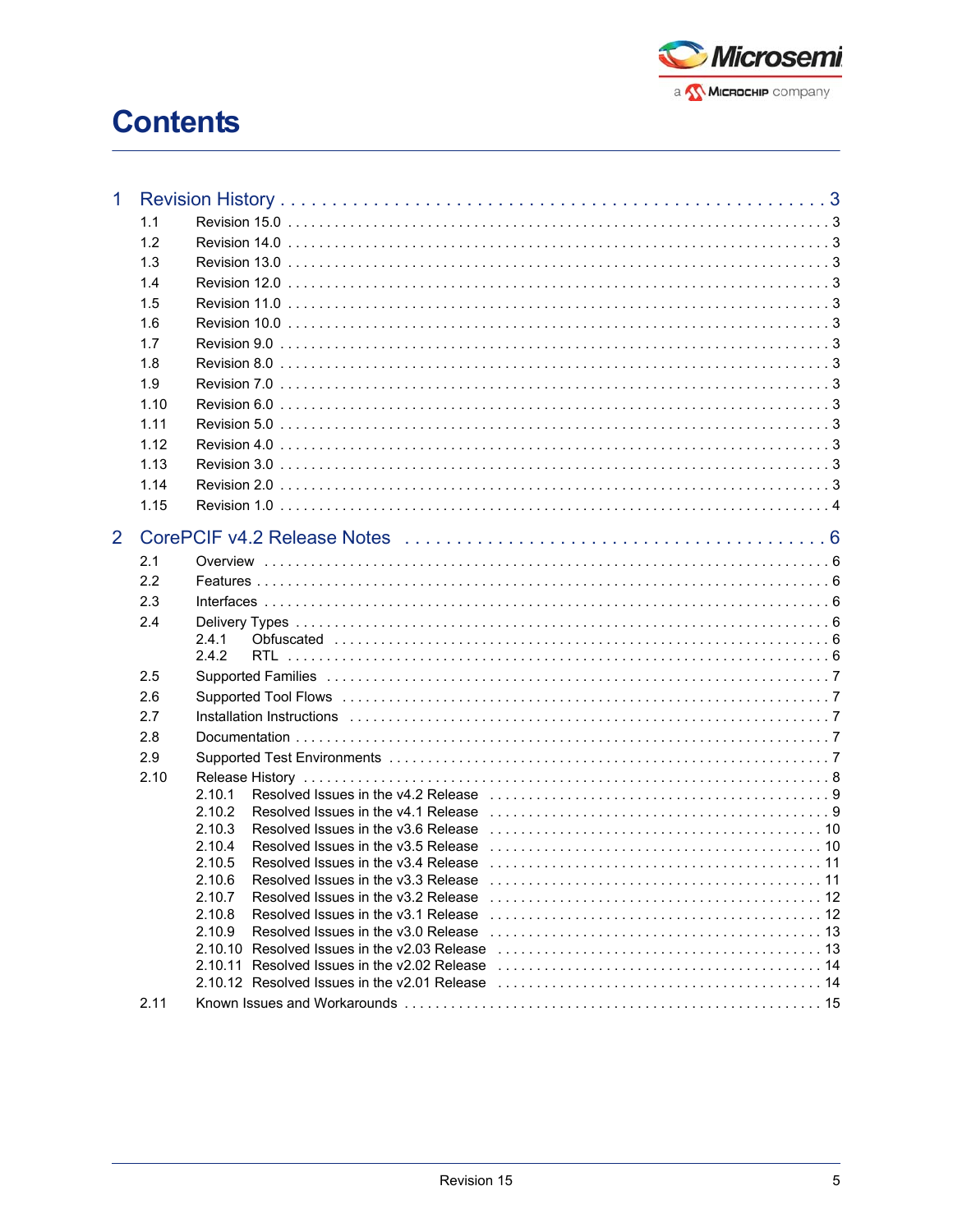

# **Contents**

| $\mathbf{1}$   |      |                                                                                                                                                                                                                                                                                                                                                                                                      |
|----------------|------|------------------------------------------------------------------------------------------------------------------------------------------------------------------------------------------------------------------------------------------------------------------------------------------------------------------------------------------------------------------------------------------------------|
|                | 1.1  |                                                                                                                                                                                                                                                                                                                                                                                                      |
|                | 1.2  |                                                                                                                                                                                                                                                                                                                                                                                                      |
|                | 1.3  |                                                                                                                                                                                                                                                                                                                                                                                                      |
|                | 1.4  |                                                                                                                                                                                                                                                                                                                                                                                                      |
|                | 1.5  |                                                                                                                                                                                                                                                                                                                                                                                                      |
|                | 1.6  |                                                                                                                                                                                                                                                                                                                                                                                                      |
|                | 1.7  |                                                                                                                                                                                                                                                                                                                                                                                                      |
|                | 1.8  |                                                                                                                                                                                                                                                                                                                                                                                                      |
|                | 1.9  |                                                                                                                                                                                                                                                                                                                                                                                                      |
|                | 1.10 |                                                                                                                                                                                                                                                                                                                                                                                                      |
|                | 1.11 |                                                                                                                                                                                                                                                                                                                                                                                                      |
|                | 1.12 |                                                                                                                                                                                                                                                                                                                                                                                                      |
|                | 1.13 |                                                                                                                                                                                                                                                                                                                                                                                                      |
|                | 1.14 |                                                                                                                                                                                                                                                                                                                                                                                                      |
|                | 1.15 |                                                                                                                                                                                                                                                                                                                                                                                                      |
|                |      |                                                                                                                                                                                                                                                                                                                                                                                                      |
| $\overline{2}$ |      |                                                                                                                                                                                                                                                                                                                                                                                                      |
|                | 2.1  |                                                                                                                                                                                                                                                                                                                                                                                                      |
|                | 2.2  |                                                                                                                                                                                                                                                                                                                                                                                                      |
|                | 2.3  |                                                                                                                                                                                                                                                                                                                                                                                                      |
|                | 2.4  |                                                                                                                                                                                                                                                                                                                                                                                                      |
|                |      | 2.4.1<br>2.4.2                                                                                                                                                                                                                                                                                                                                                                                       |
|                | 2.5  |                                                                                                                                                                                                                                                                                                                                                                                                      |
|                | 2.6  |                                                                                                                                                                                                                                                                                                                                                                                                      |
|                | 2.7  |                                                                                                                                                                                                                                                                                                                                                                                                      |
|                | 2.8  |                                                                                                                                                                                                                                                                                                                                                                                                      |
|                | 2.9  |                                                                                                                                                                                                                                                                                                                                                                                                      |
|                | 2.10 |                                                                                                                                                                                                                                                                                                                                                                                                      |
|                |      | 2.10.1                                                                                                                                                                                                                                                                                                                                                                                               |
|                |      | 2.10.2                                                                                                                                                                                                                                                                                                                                                                                               |
|                |      | 2.10.3                                                                                                                                                                                                                                                                                                                                                                                               |
|                |      | 2.10.4                                                                                                                                                                                                                                                                                                                                                                                               |
|                |      | 2.10.5                                                                                                                                                                                                                                                                                                                                                                                               |
|                |      | Resolved Issues in the v3.3 Release entertainment contained and resolved Issues in the v3.3 Release entertainment contained and response in 11<br>2.10.6<br>2.10.7<br>Resolved Issues in the v3.2 Release entertainment contained and resolved Issues in the v3.2 Release entertainment contained and resolution of the Resolution of the Resolution of Resolution of the Resolution of the Resoluti |
|                |      | 2.10.8                                                                                                                                                                                                                                                                                                                                                                                               |
|                |      | 2.10.9                                                                                                                                                                                                                                                                                                                                                                                               |
|                |      | 2.10.10 Resolved Issues in the v2.03 Release $\ldots \ldots \ldots \ldots \ldots \ldots \ldots \ldots \ldots \ldots \ldots \ldots \ldots$                                                                                                                                                                                                                                                            |
|                |      | 2.10.11 Resolved Issues in the v2.02 Release entertainment contained a series of 14                                                                                                                                                                                                                                                                                                                  |
|                |      | 2.10.12 Resolved Issues in the v2.01 Release $\ldots \ldots \ldots \ldots \ldots \ldots \ldots \ldots \ldots \ldots \ldots \ldots \ldots$                                                                                                                                                                                                                                                            |
|                | 2.11 |                                                                                                                                                                                                                                                                                                                                                                                                      |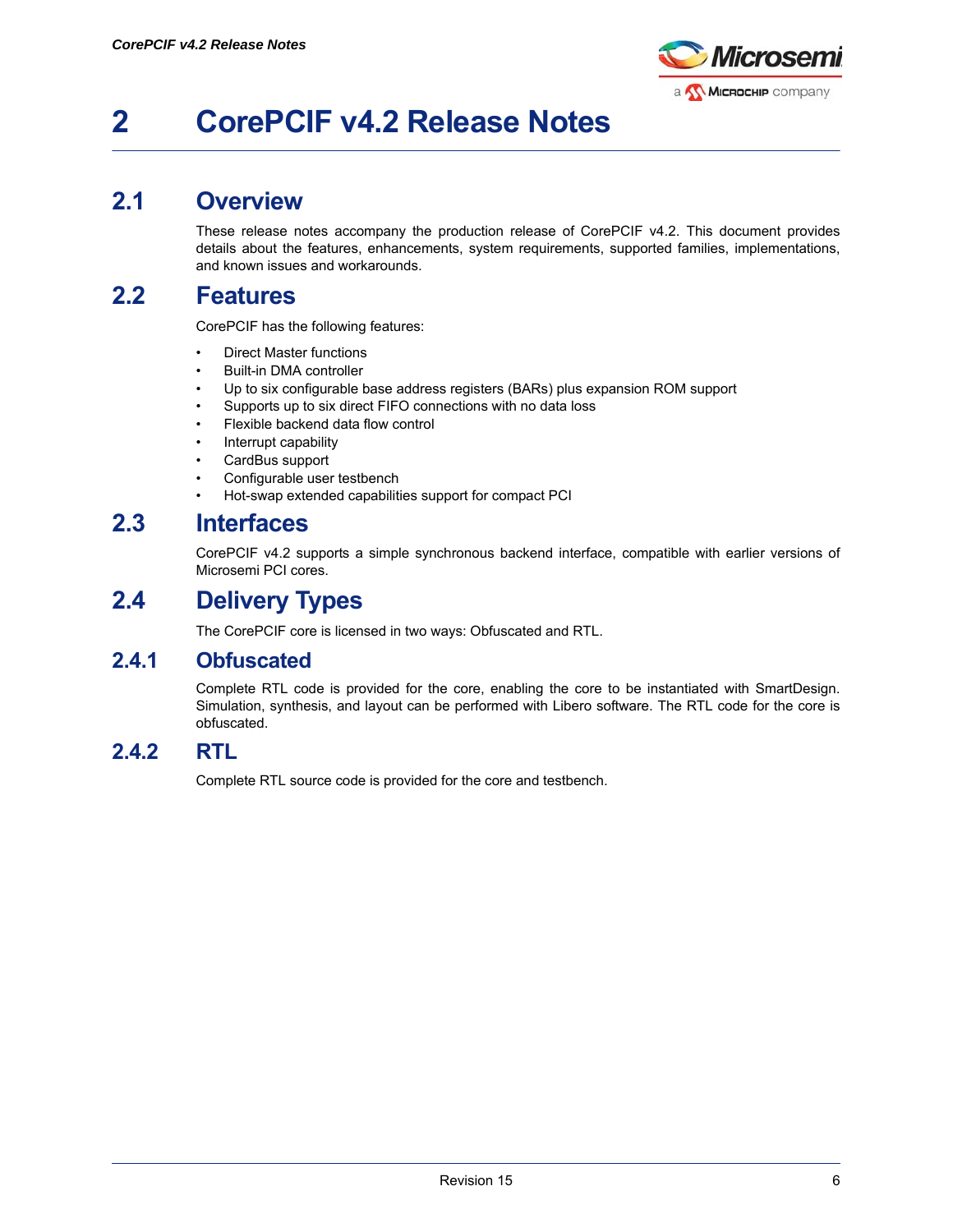

# <span id="page-5-0"></span>**2 CorePCIF v4.2 Release Notes**

## <span id="page-5-1"></span>**2.1 Overview**

These release notes accompany the production release of CorePCIF v4.2. This document provides details about the features, enhancements, system requirements, supported families, implementations, and known issues and workarounds.

## <span id="page-5-2"></span>**2.2 Features**

CorePCIF has the following features:

- Direct Master functions
- Built-in DMA controller
- Up to six configurable base address registers (BARs) plus expansion ROM support
- Supports up to six direct FIFO connections with no data loss
- Flexible backend data flow control
- Interrupt capability
- CardBus support
- Configurable user testbench
- Hot-swap extended capabilities support for compact PCI

## <span id="page-5-3"></span>**2.3 Interfaces**

CorePCIF v4.2 supports a simple synchronous backend interface, compatible with earlier versions of Microsemi PCI cores.

## <span id="page-5-4"></span>**2.4 Delivery Types**

The CorePCIF core is licensed in two ways: Obfuscated and RTL.

### <span id="page-5-5"></span>**2.4.1 Obfuscated**

Complete RTL code is provided for the core, enabling the core to be instantiated with SmartDesign. Simulation, synthesis, and layout can be performed with Libero software. The RTL code for the core is obfuscated.

### <span id="page-5-6"></span>**2.4.2 RTL**

Complete RTL source code is provided for the core and testbench.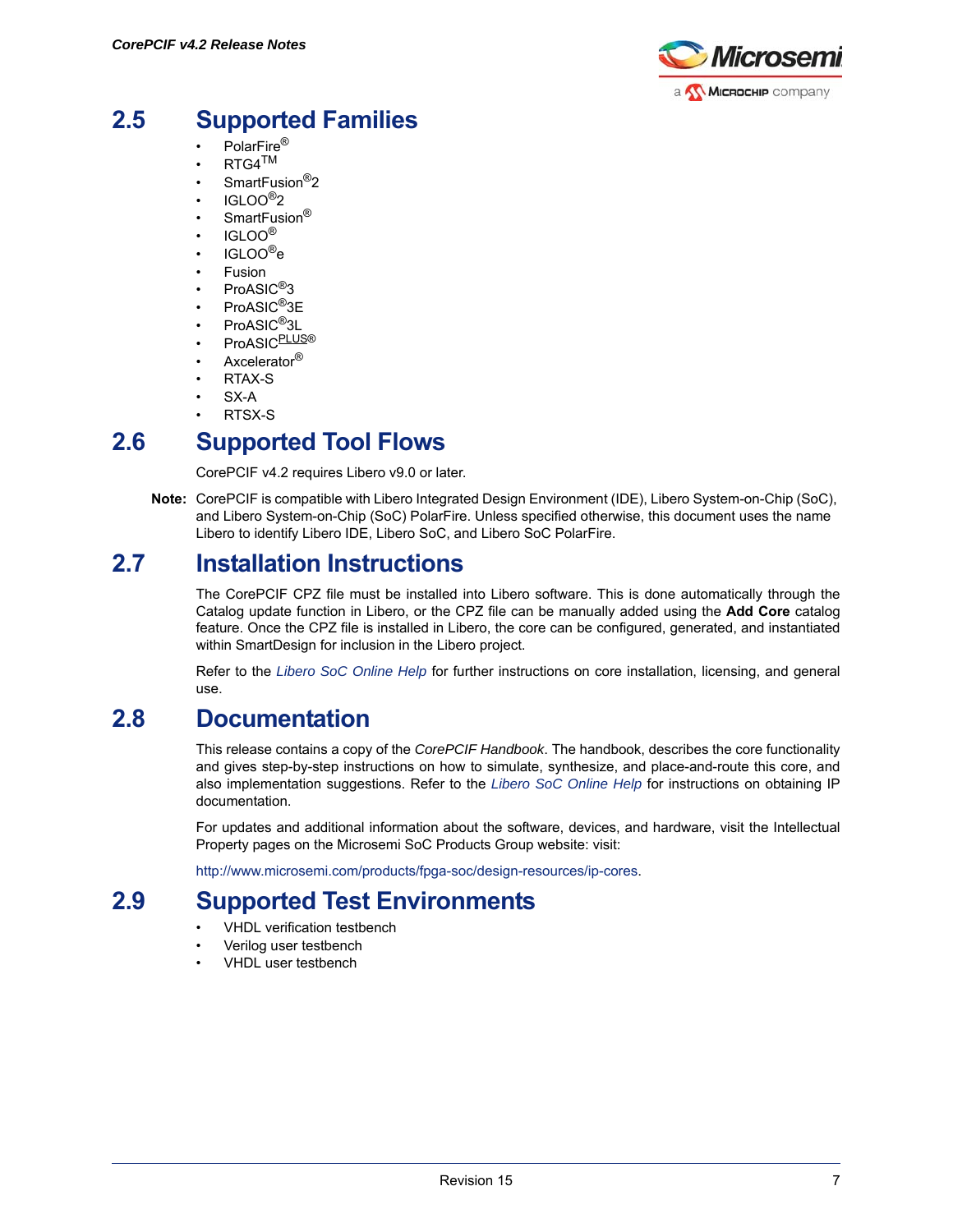

## <span id="page-6-0"></span>**2.5 Supported Families**

- PolarFire®
- $RTG4^{TM}$
- SmartFusion<sup>®</sup>2
- $IGI$   $OO<sup>®</sup>2$
- SmartFusion®
- $\cdot$  IGLOO<sup>®</sup>
- $\cdot$  IGLOO®e
- Fusion
- ProASIC<sup>®</sup>3
- ProASIC<sup>®</sup>3E
- ProASIC<sup>®</sup>3L
- ProASICPLUS®
- Axcelerator<sup>®</sup>
- RTAX-S
- SX-A
- RTSX-S

## <span id="page-6-1"></span>**2.6 Supported Tool Flows**

CorePCIF v4.2 requires Libero v9.0 or later.

**Note:** CorePCIF is compatible with Libero Integrated Design Environment (IDE), Libero System-on-Chip (SoC), and Libero System-on-Chip (SoC) PolarFire. Unless specified otherwise, this document uses the name Libero to identify Libero IDE, Libero SoC, and Libero SoC PolarFire.

## <span id="page-6-2"></span>**2.7 Installation Instructions**

The CorePCIF CPZ file must be installed into Libero software. This is done automatically through the Catalog update function in Libero, or the CPZ file can be manually added using the **Add Core** catalog feature. Once the CPZ file is installed in Libero, the core can be configured, generated, and instantiated within SmartDesign for inclusion in the Libero project.

Refer to the *[Libero SoC Online Help](http://www.microsemi.com/index.php?option=com_docman&task=doc_download&gid=132044)* for further instructions on core installation, licensing, and general use.

## <span id="page-6-3"></span>**2.8 Documentation**

This release contains a copy of the *CorePCIF Handbook*. The handbook, describes the core functionality and gives step-by-step instructions on how to simulate, synthesize, and place-and-route this core, and also implementation suggestions. Refer to the *[Libero SoC Online Help](http://www.microsemi.com/index.php?option=com_docman&task=doc_download&gid=132044)* for instructions on obtaining IP documentation.

For updates and additional information about the software, devices, and hardware, visit the Intellectual Property pages on the Microsemi SoC Products Group website: visit:

[http://www.microsemi.com/products/fpga-soc/design-resources/ip-cores.](http://www.microsemi.com/products/fpga-soc/design-resources/ip-cores)

## <span id="page-6-4"></span>**2.9 Supported Test Environments**

- VHDL verification testbench
- Verilog user testbench
- VHDL user testbench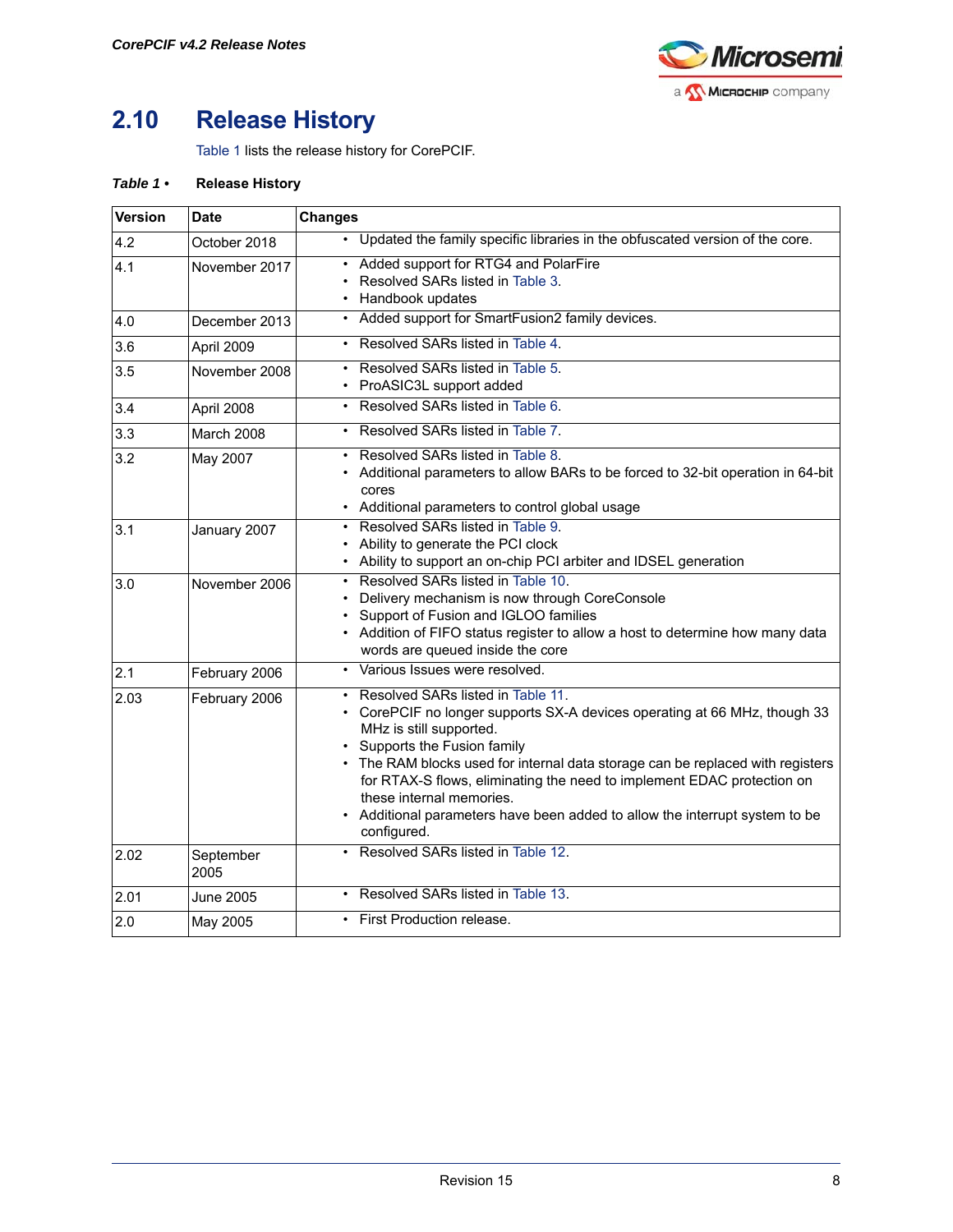

## <span id="page-7-0"></span>**2.10 Release History**

[Table 1](#page-7-1) lists the release history for CorePCIF.

#### <span id="page-7-1"></span>*Table 1 •* **Release History**

| <b>Version</b> | <b>Date</b>       | <b>Changes</b>                                                                                                                                                                                                                                                                                                                                                                                                                                                |
|----------------|-------------------|---------------------------------------------------------------------------------------------------------------------------------------------------------------------------------------------------------------------------------------------------------------------------------------------------------------------------------------------------------------------------------------------------------------------------------------------------------------|
| 4.2            | October 2018      | • Updated the family specific libraries in the obfuscated version of the core.                                                                                                                                                                                                                                                                                                                                                                                |
| 4.1            | November 2017     | Added support for RTG4 and PolarFire<br>Resolved SARs listed in Table 3.<br>• Handbook updates                                                                                                                                                                                                                                                                                                                                                                |
| 4.0            | December 2013     | • Added support for SmartFusion2 family devices.                                                                                                                                                                                                                                                                                                                                                                                                              |
| 3.6            | April 2009        | • Resolved SARs listed in Table 4.                                                                                                                                                                                                                                                                                                                                                                                                                            |
| 3.5            | November 2008     | Resolved SARs listed in Table 5.<br>• ProASIC3L support added                                                                                                                                                                                                                                                                                                                                                                                                 |
| 3.4            | April 2008        | • Resolved SARs listed in Table 6.                                                                                                                                                                                                                                                                                                                                                                                                                            |
| 3.3            | March 2008        | • Resolved SARs listed in Table 7.                                                                                                                                                                                                                                                                                                                                                                                                                            |
| 3.2            | May 2007          | Resolved SARs listed in Table 8.<br>Additional parameters to allow BARs to be forced to 32-bit operation in 64-bit<br>cores<br>• Additional parameters to control global usage                                                                                                                                                                                                                                                                                |
| 3.1            | January 2007      | • Resolved SARs listed in Table 9.<br>• Ability to generate the PCI clock<br>• Ability to support an on-chip PCI arbiter and IDSEL generation                                                                                                                                                                                                                                                                                                                 |
| 3.0            | November 2006     | Resolved SARs listed in Table 10.<br>$\bullet$<br>Delivery mechanism is now through CoreConsole<br>Support of Fusion and IGLOO families<br>• Addition of FIFO status register to allow a host to determine how many data<br>words are queued inside the core                                                                                                                                                                                                  |
| 2.1            | February 2006     | Various Issues were resolved.                                                                                                                                                                                                                                                                                                                                                                                                                                 |
| 2.03           | February 2006     | Resolved SARs listed in Table 11.<br>• CorePCIF no longer supports SX-A devices operating at 66 MHz, though 33<br>MHz is still supported.<br>Supports the Fusion family<br>• The RAM blocks used for internal data storage can be replaced with registers<br>for RTAX-S flows, eliminating the need to implement EDAC protection on<br>these internal memories.<br>• Additional parameters have been added to allow the interrupt system to be<br>configured. |
| 2.02           | September<br>2005 | • Resolved SARs listed in Table 12.                                                                                                                                                                                                                                                                                                                                                                                                                           |
| 2.01           | <b>June 2005</b>  | • Resolved SARs listed in Table 13.                                                                                                                                                                                                                                                                                                                                                                                                                           |
| 2.0            | May 2005          | • First Production release.                                                                                                                                                                                                                                                                                                                                                                                                                                   |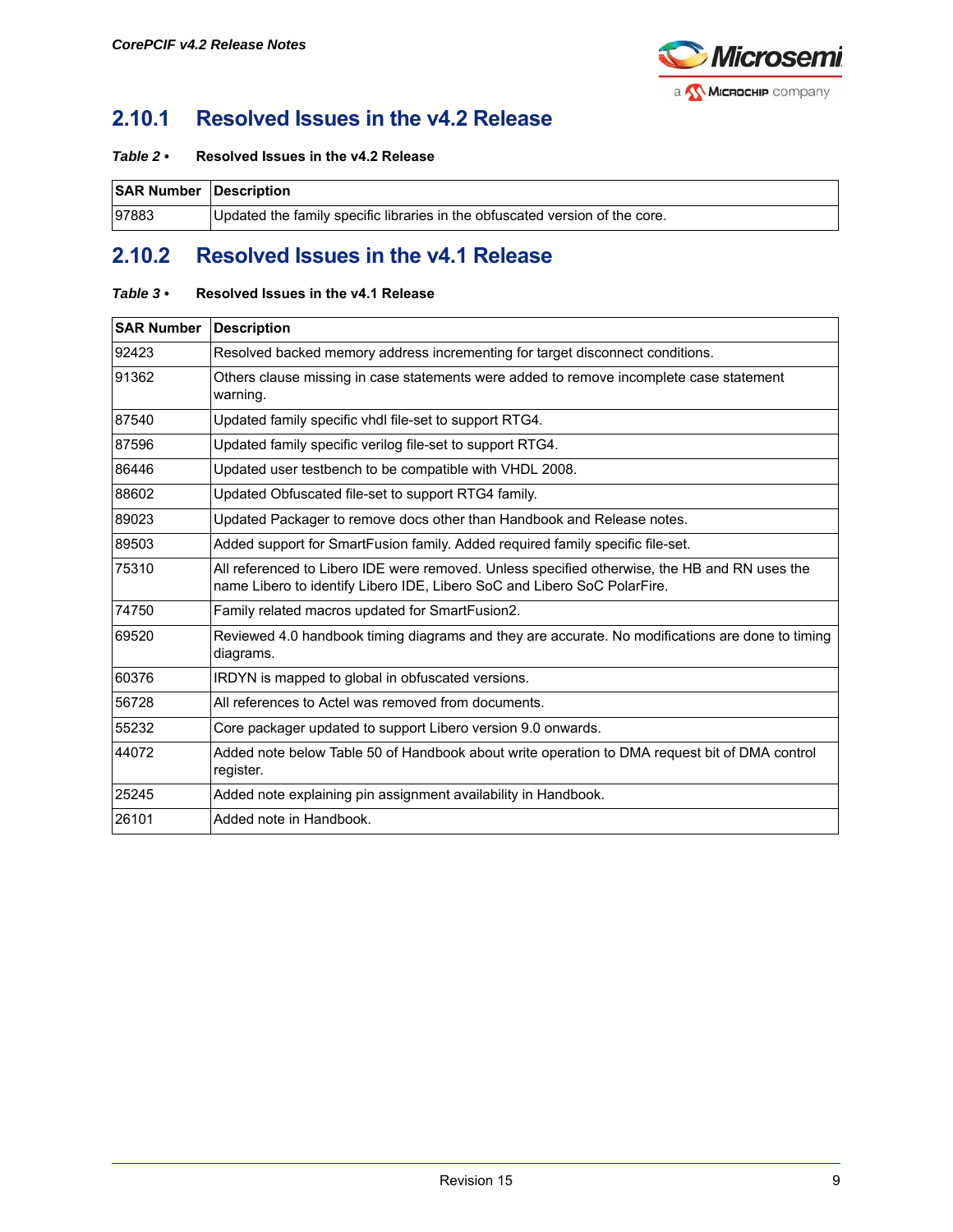

## <span id="page-8-0"></span>**2.10.1 Resolved Issues in the v4.2 Release**

#### *Table 2 •* **Resolved Issues in the v4.2 Release**

| <b>SAR Number Description</b> |                                                                              |
|-------------------------------|------------------------------------------------------------------------------|
| 97883                         | Updated the family specific libraries in the obfuscated version of the core. |

## <span id="page-8-1"></span>**2.10.2 Resolved Issues in the v4.1 Release**

#### <span id="page-8-2"></span>*Table 3 •* **Resolved Issues in the v4.1 Release**

| <b>SAR Number Description</b> |                                                                                                                                                                           |
|-------------------------------|---------------------------------------------------------------------------------------------------------------------------------------------------------------------------|
| 92423                         | Resolved backed memory address incrementing for target disconnect conditions.                                                                                             |
| 91362                         | Others clause missing in case statements were added to remove incomplete case statement<br>warning.                                                                       |
| 87540                         | Updated family specific vhdl file-set to support RTG4.                                                                                                                    |
| 87596                         | Updated family specific verilog file-set to support RTG4.                                                                                                                 |
| 86446                         | Updated user testbench to be compatible with VHDL 2008.                                                                                                                   |
| 88602                         | Updated Obfuscated file-set to support RTG4 family.                                                                                                                       |
| 89023                         | Updated Packager to remove docs other than Handbook and Release notes.                                                                                                    |
| 89503                         | Added support for SmartFusion family. Added required family specific file-set.                                                                                            |
| 75310                         | All referenced to Libero IDE were removed. Unless specified otherwise, the HB and RN uses the<br>name Libero to identify Libero IDE, Libero SoC and Libero SoC PolarFire. |
| 74750                         | Family related macros updated for SmartFusion2.                                                                                                                           |
| 69520                         | Reviewed 4.0 handbook timing diagrams and they are accurate. No modifications are done to timing<br>diagrams.                                                             |
| 60376                         | IRDYN is mapped to global in obfuscated versions.                                                                                                                         |
| 56728                         | All references to Actel was removed from documents.                                                                                                                       |
| 55232                         | Core packager updated to support Libero version 9.0 onwards.                                                                                                              |
| 44072                         | Added note below Table 50 of Handbook about write operation to DMA request bit of DMA control<br>register.                                                                |
| 25245                         | Added note explaining pin assignment availability in Handbook.                                                                                                            |
| 26101                         | Added note in Handbook.                                                                                                                                                   |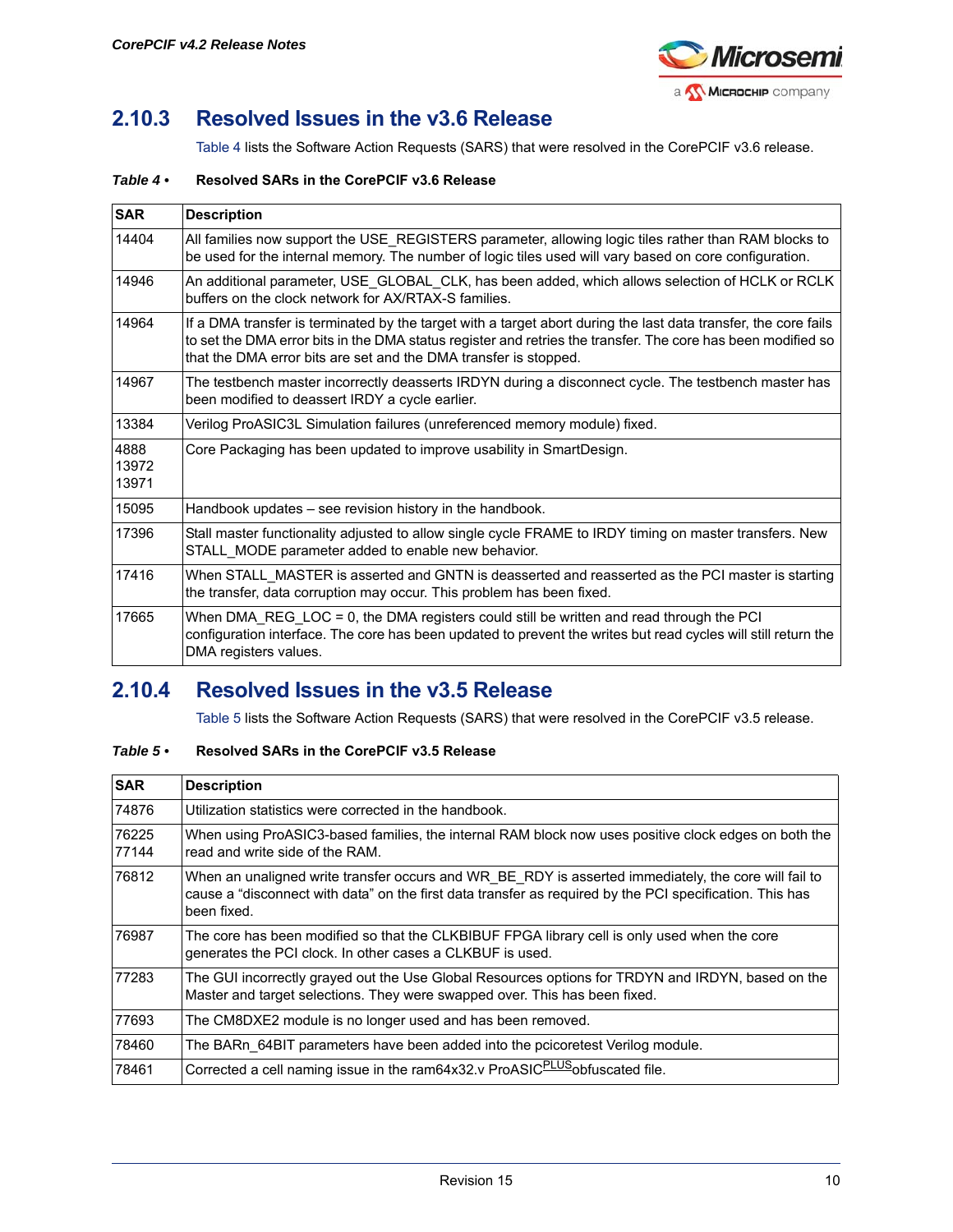

## <span id="page-9-0"></span>**2.10.3 Resolved Issues in the v3.6 Release**

[Table 4](#page-9-2) lists the Software Action Requests (SARS) that were resolved in the CorePCIF v3.6 release.

#### <span id="page-9-2"></span>*Table 4 •* **Resolved SARs in the CorePCIF v3.6 Release**

| <b>SAR</b>             | <b>Description</b>                                                                                                                                                                                                                                                                                  |
|------------------------|-----------------------------------------------------------------------------------------------------------------------------------------------------------------------------------------------------------------------------------------------------------------------------------------------------|
| 14404                  | All families now support the USE REGISTERS parameter, allowing logic tiles rather than RAM blocks to<br>be used for the internal memory. The number of logic tiles used will vary based on core configuration.                                                                                      |
| 14946                  | An additional parameter, USE_GLOBAL_CLK, has been added, which allows selection of HCLK or RCLK<br>buffers on the clock network for AX/RTAX-S families.                                                                                                                                             |
| 14964                  | If a DMA transfer is terminated by the target with a target abort during the last data transfer, the core fails<br>to set the DMA error bits in the DMA status register and retries the transfer. The core has been modified so<br>that the DMA error bits are set and the DMA transfer is stopped. |
| 14967                  | The testbench master incorrectly deasserts IRDYN during a disconnect cycle. The testbench master has<br>been modified to deassert IRDY a cycle earlier.                                                                                                                                             |
| 13384                  | Verilog ProASIC3L Simulation failures (unreferenced memory module) fixed.                                                                                                                                                                                                                           |
| 4888<br>13972<br>13971 | Core Packaging has been updated to improve usability in SmartDesign.                                                                                                                                                                                                                                |
| 15095                  | Handbook updates – see revision history in the handbook.                                                                                                                                                                                                                                            |
| 17396                  | Stall master functionality adjusted to allow single cycle FRAME to IRDY timing on master transfers. New<br>STALL MODE parameter added to enable new behavior.                                                                                                                                       |
| 17416                  | When STALL MASTER is asserted and GNTN is deasserted and reasserted as the PCI master is starting<br>the transfer, data corruption may occur. This problem has been fixed.                                                                                                                          |
| 17665                  | When DMA_REG_LOC = 0, the DMA registers could still be written and read through the PCI<br>configuration interface. The core has been updated to prevent the writes but read cycles will still return the<br>DMA registers values.                                                                  |

## <span id="page-9-1"></span>**2.10.4 Resolved Issues in the v3.5 Release**

[Table 5](#page-9-3) lists the Software Action Requests (SARS) that were resolved in the CorePCIF v3.5 release.

#### <span id="page-9-3"></span>*Table 5 •* **Resolved SARs in the CorePCIF v3.5 Release**

| <b>SAR</b>     | <b>Description</b>                                                                                                                                                                                                              |
|----------------|---------------------------------------------------------------------------------------------------------------------------------------------------------------------------------------------------------------------------------|
| 74876          | Utilization statistics were corrected in the handbook.                                                                                                                                                                          |
| 76225<br>77144 | When using ProASIC3-based families, the internal RAM block now uses positive clock edges on both the<br>read and write side of the RAM.                                                                                         |
| 76812          | When an unaligned write transfer occurs and WR BE RDY is asserted immediately, the core will fail to<br>cause a "disconnect with data" on the first data transfer as required by the PCI specification. This has<br>been fixed. |
| 76987          | The core has been modified so that the CLKBIBUF FPGA library cell is only used when the core<br>generates the PCI clock. In other cases a CLKBUF is used.                                                                       |
| 77283          | The GUI incorrectly grayed out the Use Global Resources options for TRDYN and IRDYN, based on the<br>Master and target selections. They were swapped over. This has been fixed.                                                 |
| 77693          | The CM8DXE2 module is no longer used and has been removed.                                                                                                                                                                      |
| 78460          | The BARn 64BIT parameters have been added into the pcicoretest Verilog module.                                                                                                                                                  |
| 78461          | Corrected a cell naming issue in the ram64x32.v ProASIC <sup>PLUS</sup> obfuscated file.                                                                                                                                        |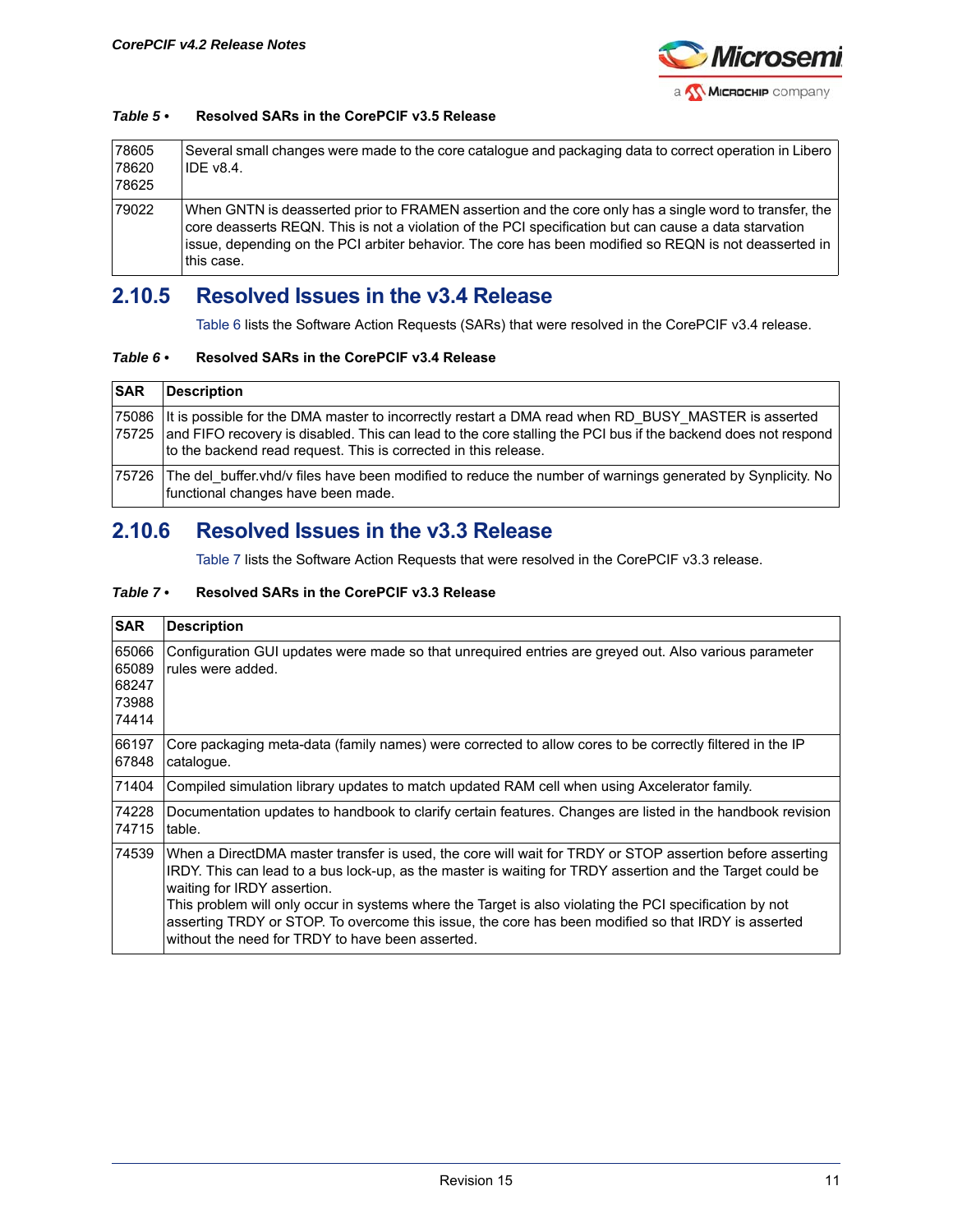

#### *Table 5 •* **Resolved SARs in the CorePCIF v3.5 Release**

| 78605<br>78620<br>78625 | Several small changes were made to the core catalogue and packaging data to correct operation in Libero<br><b>IDE v8.4.</b>                                                                                                                                                                                                            |
|-------------------------|----------------------------------------------------------------------------------------------------------------------------------------------------------------------------------------------------------------------------------------------------------------------------------------------------------------------------------------|
| 79022                   | When GNTN is deasserted prior to FRAMEN assertion and the core only has a single word to transfer, the<br>core deasserts REQN. This is not a violation of the PCI specification but can cause a data starvation<br>issue, depending on the PCI arbiter behavior. The core has been modified so REQN is not deasserted in<br>this case. |

## <span id="page-10-0"></span>**2.10.5 Resolved Issues in the v3.4 Release**

[Table 6](#page-10-2) lists the Software Action Requests (SARs) that were resolved in the CorePCIF v3.4 release.

#### <span id="page-10-2"></span>*Table 6 •* **Resolved SARs in the CorePCIF v3.4 Release**

| <b>SAR</b> | Description                                                                                                                                                                                                                                                                                   |
|------------|-----------------------------------------------------------------------------------------------------------------------------------------------------------------------------------------------------------------------------------------------------------------------------------------------|
| 175725     | 75086 It is possible for the DMA master to incorrectly restart a DMA read when RD BUSY MASTER is asserted<br>and FIFO recovery is disabled. This can lead to the core stalling the PCI bus if the backend does not respond<br>to the backend read request. This is corrected in this release. |
|            | 75726 The del buffer.vhd/v files have been modified to reduce the number of warnings generated by Synplicity. No<br>functional changes have been made.                                                                                                                                        |

### <span id="page-10-1"></span>**2.10.6 Resolved Issues in the v3.3 Release**

[Table 7](#page-10-3) lists the Software Action Requests that were resolved in the CorePCIF v3.3 release.

#### <span id="page-10-3"></span>*Table 7 •* **Resolved SARs in the CorePCIF v3.3 Release**

| <b>SAR</b>                                | <b>Description</b>                                                                                                                                                                                                                                                                                                                                                                                                                                                                                                         |
|-------------------------------------------|----------------------------------------------------------------------------------------------------------------------------------------------------------------------------------------------------------------------------------------------------------------------------------------------------------------------------------------------------------------------------------------------------------------------------------------------------------------------------------------------------------------------------|
| 65066<br>65089<br>68247<br>73988<br>74414 | Configuration GUI updates were made so that unrequired entries are greyed out. Also various parameter<br>rules were added.                                                                                                                                                                                                                                                                                                                                                                                                 |
| 66197<br>67848                            | Core packaging meta-data (family names) were corrected to allow cores to be correctly filtered in the IP<br>catalogue.                                                                                                                                                                                                                                                                                                                                                                                                     |
| 71404                                     | Compiled simulation library updates to match updated RAM cell when using Axcelerator family.                                                                                                                                                                                                                                                                                                                                                                                                                               |
| 74228<br>74715                            | Documentation updates to handbook to clarify certain features. Changes are listed in the handbook revision<br>table.                                                                                                                                                                                                                                                                                                                                                                                                       |
| 74539                                     | When a DirectDMA master transfer is used, the core will wait for TRDY or STOP assertion before asserting<br>IRDY. This can lead to a bus lock-up, as the master is waiting for TRDY assertion and the Target could be<br>waiting for IRDY assertion.<br>This problem will only occur in systems where the Target is also violating the PCI specification by not<br>asserting TRDY or STOP. To overcome this issue, the core has been modified so that IRDY is asserted<br>without the need for TRDY to have been asserted. |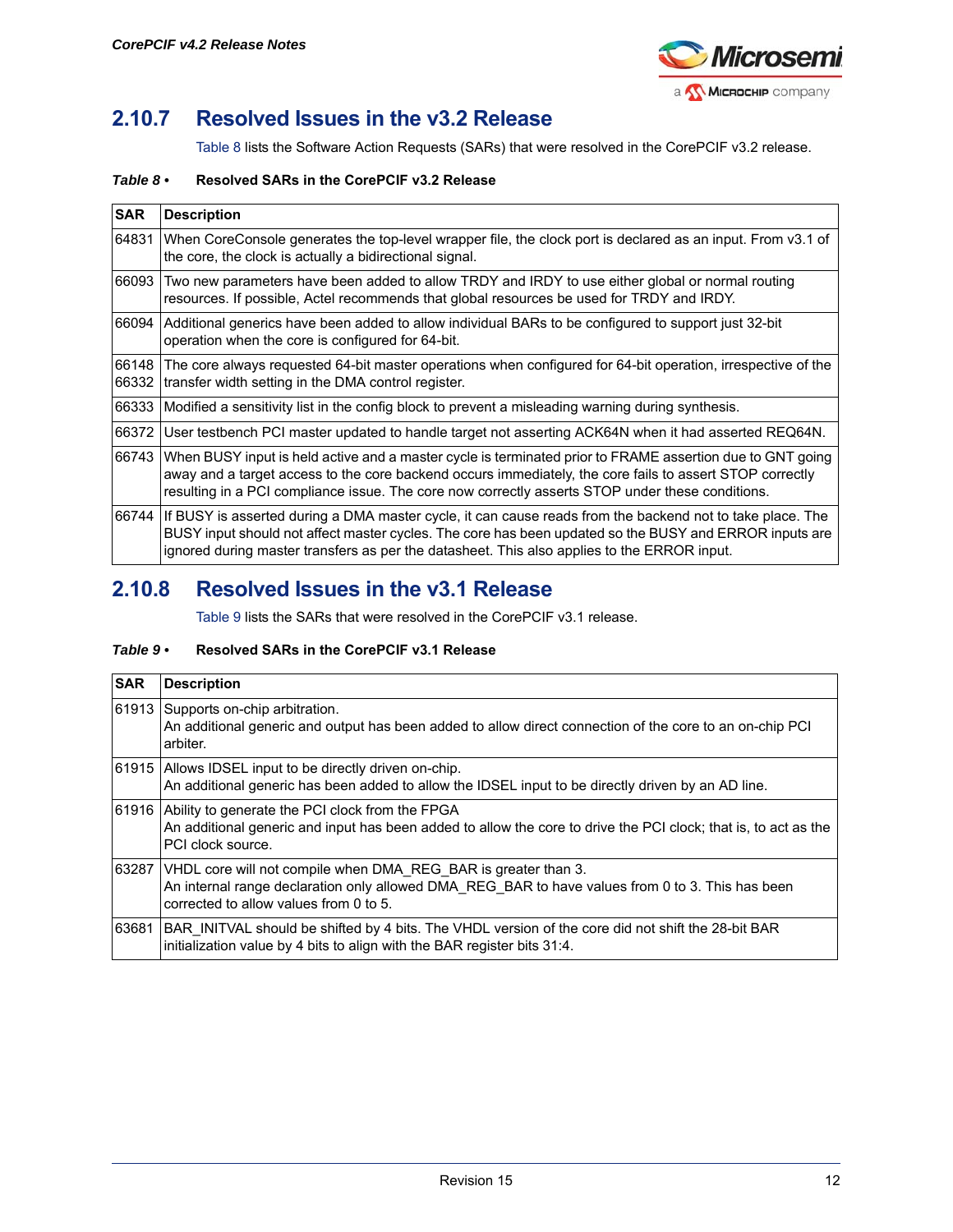

## <span id="page-11-0"></span>**2.10.7 Resolved Issues in the v3.2 Release**

[Table 8](#page-11-2) lists the Software Action Requests (SARs) that were resolved in the CorePCIF v3.2 release.

#### <span id="page-11-2"></span>*Table 8 •* **Resolved SARs in the CorePCIF v3.2 Release**

| <b>SAR</b> | <b>Description</b>                                                                                                                                                                                                                                                                                                              |
|------------|---------------------------------------------------------------------------------------------------------------------------------------------------------------------------------------------------------------------------------------------------------------------------------------------------------------------------------|
| 64831      | When CoreConsole generates the top-level wrapper file, the clock port is declared as an input. From v3.1 of<br>the core, the clock is actually a bidirectional signal.                                                                                                                                                          |
| 66093      | Two new parameters have been added to allow TRDY and IRDY to use either global or normal routing<br>resources. If possible, Actel recommends that global resources be used for TRDY and IRDY.                                                                                                                                   |
|            | 66094  Additional generics have been added to allow individual BARs to be configured to support just 32-bit <br>operation when the core is configured for 64-bit.                                                                                                                                                               |
| 66332      | 66148  The core always requested 64-bit master operations when configured for 64-bit operation, irrespective of the<br>transfer width setting in the DMA control register.                                                                                                                                                      |
|            | 66333 Modified a sensitivity list in the config block to prevent a misleading warning during synthesis.                                                                                                                                                                                                                         |
|            | 66372  User testbench PCI master updated to handle target not asserting ACK64N when it had asserted REQ64N.                                                                                                                                                                                                                     |
|            | 66743 When BUSY input is held active and a master cycle is terminated prior to FRAME assertion due to GNT going<br>away and a target access to the core backend occurs immediately, the core fails to assert STOP correctly<br>resulting in a PCI compliance issue. The core now correctly asserts STOP under these conditions. |
|            | 66744 If BUSY is asserted during a DMA master cycle, it can cause reads from the backend not to take place. The<br>BUSY input should not affect master cycles. The core has been updated so the BUSY and ERROR inputs are<br>ignored during master transfers as per the datasheet. This also applies to the ERROR input.        |

### <span id="page-11-1"></span>**2.10.8 Resolved Issues in the v3.1 Release**

[Table 9](#page-11-3) lists the SARs that were resolved in the CorePCIF v3.1 release.

#### <span id="page-11-3"></span>*Table 9 •* **Resolved SARs in the CorePCIF v3.1 Release**

| <b>SAR</b> | <b>Description</b>                                                                                                                                                                                           |
|------------|--------------------------------------------------------------------------------------------------------------------------------------------------------------------------------------------------------------|
|            | 61913 Supports on-chip arbitration.<br>An additional generic and output has been added to allow direct connection of the core to an on-chip PCI<br>arbiter.                                                  |
|            | [61915 Allows IDSEL input to be directly driven on-chip.]<br>An additional generic has been added to allow the IDSEL input to be directly driven by an AD line.                                              |
|            | 61916 Ability to generate the PCI clock from the FPGA<br>An additional generic and input has been added to allow the core to drive the PCI clock; that is, to act as the<br>PCI clock source.                |
| 63287      | VHDL core will not compile when DMA REG BAR is greater than 3.<br>An internal range declaration only allowed DMA REG BAR to have values from 0 to 3. This has been<br>corrected to allow values from 0 to 5. |
| 63681      | BAR INITVAL should be shifted by 4 bits. The VHDL version of the core did not shift the 28-bit BAR<br>initialization value by 4 bits to align with the BAR register bits 31:4.                               |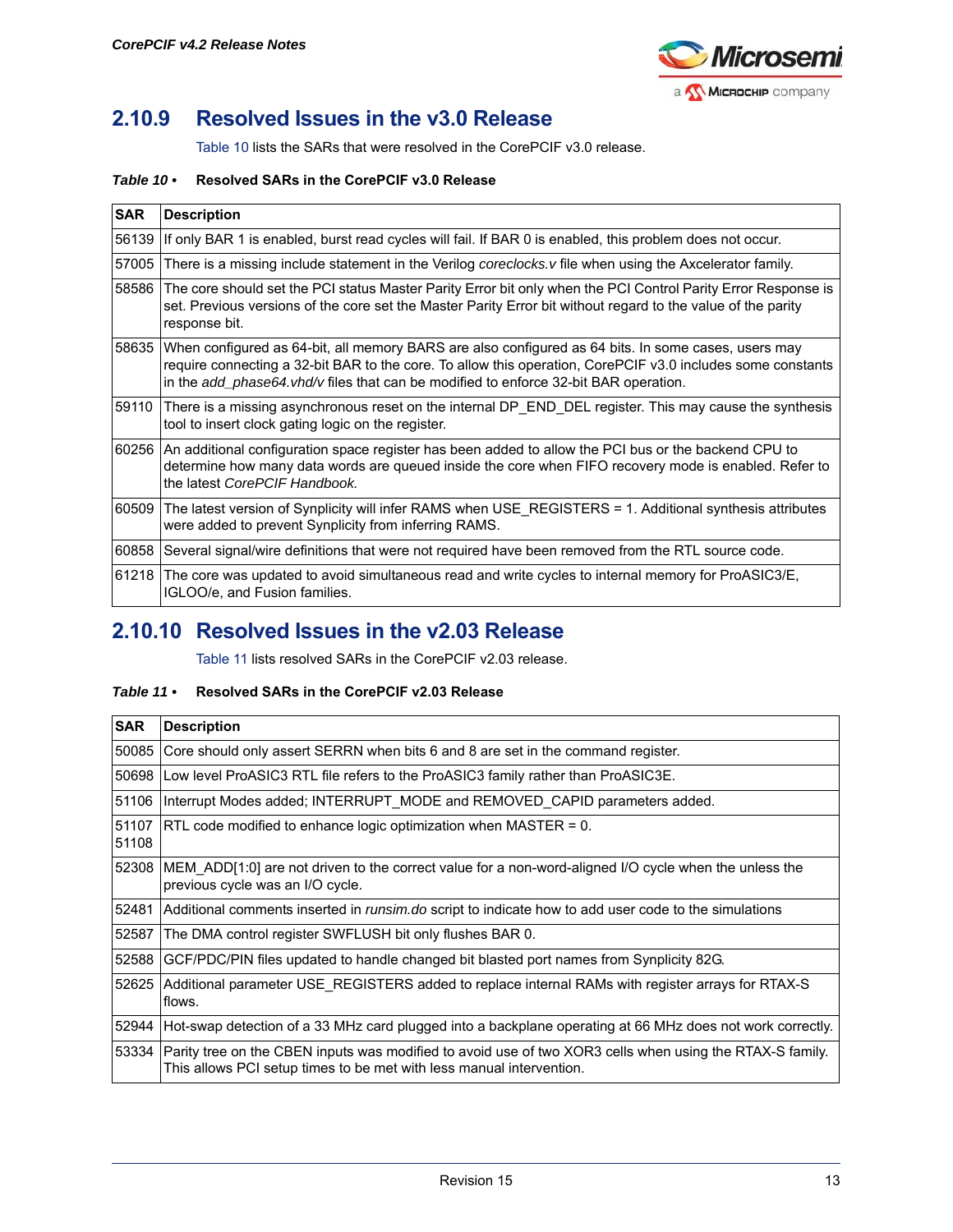

## <span id="page-12-0"></span>**2.10.9 Resolved Issues in the v3.0 Release**

[Table 10](#page-12-2) lists the SARs that were resolved in the CorePCIF v3.0 release.

#### <span id="page-12-2"></span>*Table 10 •* **Resolved SARs in the CorePCIF v3.0 Release**

| <b>SAR</b> | <b>Description</b>                                                                                                                                                                                                                                                                                         |
|------------|------------------------------------------------------------------------------------------------------------------------------------------------------------------------------------------------------------------------------------------------------------------------------------------------------------|
| 56139      | If only BAR 1 is enabled, burst read cycles will fail. If BAR 0 is enabled, this problem does not occur.                                                                                                                                                                                                   |
| 57005      | There is a missing include statement in the Verilog coreclocks.v file when using the Axcelerator family.                                                                                                                                                                                                   |
| 58586      | The core should set the PCI status Master Parity Error bit only when the PCI Control Parity Error Response is<br>set. Previous versions of the core set the Master Parity Error bit without regard to the value of the parity<br>response bit.                                                             |
| 58635      | When configured as 64-bit, all memory BARS are also configured as 64 bits. In some cases, users may<br>require connecting a 32-bit BAR to the core. To allow this operation, CorePCIF v3.0 includes some constants<br>in the add_phase64.vhd/v files that can be modified to enforce 32-bit BAR operation. |
|            | 59110 There is a missing asynchronous reset on the internal DP_END_DEL register. This may cause the synthesis<br>tool to insert clock gating logic on the register.                                                                                                                                        |
|            | 60256 An additional configuration space register has been added to allow the PCI bus or the backend CPU to<br>determine how many data words are queued inside the core when FIFO recovery mode is enabled. Refer to<br>the latest CorePCIF Handbook.                                                       |
| 60509      | The latest version of Synplicity will infer RAMS when USE REGISTERS = 1. Additional synthesis attributes<br>were added to prevent Synplicity from inferring RAMS.                                                                                                                                          |
| 60858      | Several signal/wire definitions that were not required have been removed from the RTL source code.                                                                                                                                                                                                         |
| 61218      | The core was updated to avoid simultaneous read and write cycles to internal memory for ProASIC3/E,<br>IGLOO/e, and Fusion families.                                                                                                                                                                       |

### <span id="page-12-1"></span>**2.10.10 Resolved Issues in the v2.03 Release**

[Table 11](#page-12-3) lists resolved SARs in the CorePCIF v2.03 release.

#### <span id="page-12-3"></span>*Table 11 •* **Resolved SARs in the CorePCIF v2.03 Release**

| <b>SAR</b>     | <b>Description</b>                                                                                                                                                               |
|----------------|----------------------------------------------------------------------------------------------------------------------------------------------------------------------------------|
| 50085          | Core should only assert SERRN when bits 6 and 8 are set in the command register.                                                                                                 |
| 50698          | Low level ProASIC3 RTL file refers to the ProASIC3 family rather than ProASIC3E.                                                                                                 |
| 51106          | Interrupt Modes added; INTERRUPT MODE and REMOVED CAPID parameters added.                                                                                                        |
| 51107<br>51108 | $RTL$ code modified to enhance logic optimization when MASTER = 0.                                                                                                               |
| 52308          | MEM ADD[1:0] are not driven to the correct value for a non-word-aligned I/O cycle when the unless the<br>previous cycle was an I/O cycle.                                        |
|                | 52481 Additional comments inserted in <i>runsim.do</i> script to indicate how to add user code to the simulations                                                                |
| 52587          | The DMA control register SWFLUSH bit only flushes BAR 0.                                                                                                                         |
| 52588          | GCF/PDC/PIN files updated to handle changed bit blasted port names from Synplicity 82G.                                                                                          |
| 52625          | Additional parameter USE_REGISTERS added to replace internal RAMs with register arrays for RTAX-S<br>flows.                                                                      |
|                | 52944 Hot-swap detection of a 33 MHz card plugged into a backplane operating at 66 MHz does not work correctly.                                                                  |
| 53334          | Parity tree on the CBEN inputs was modified to avoid use of two XOR3 cells when using the RTAX-S family.<br>This allows PCI setup times to be met with less manual intervention. |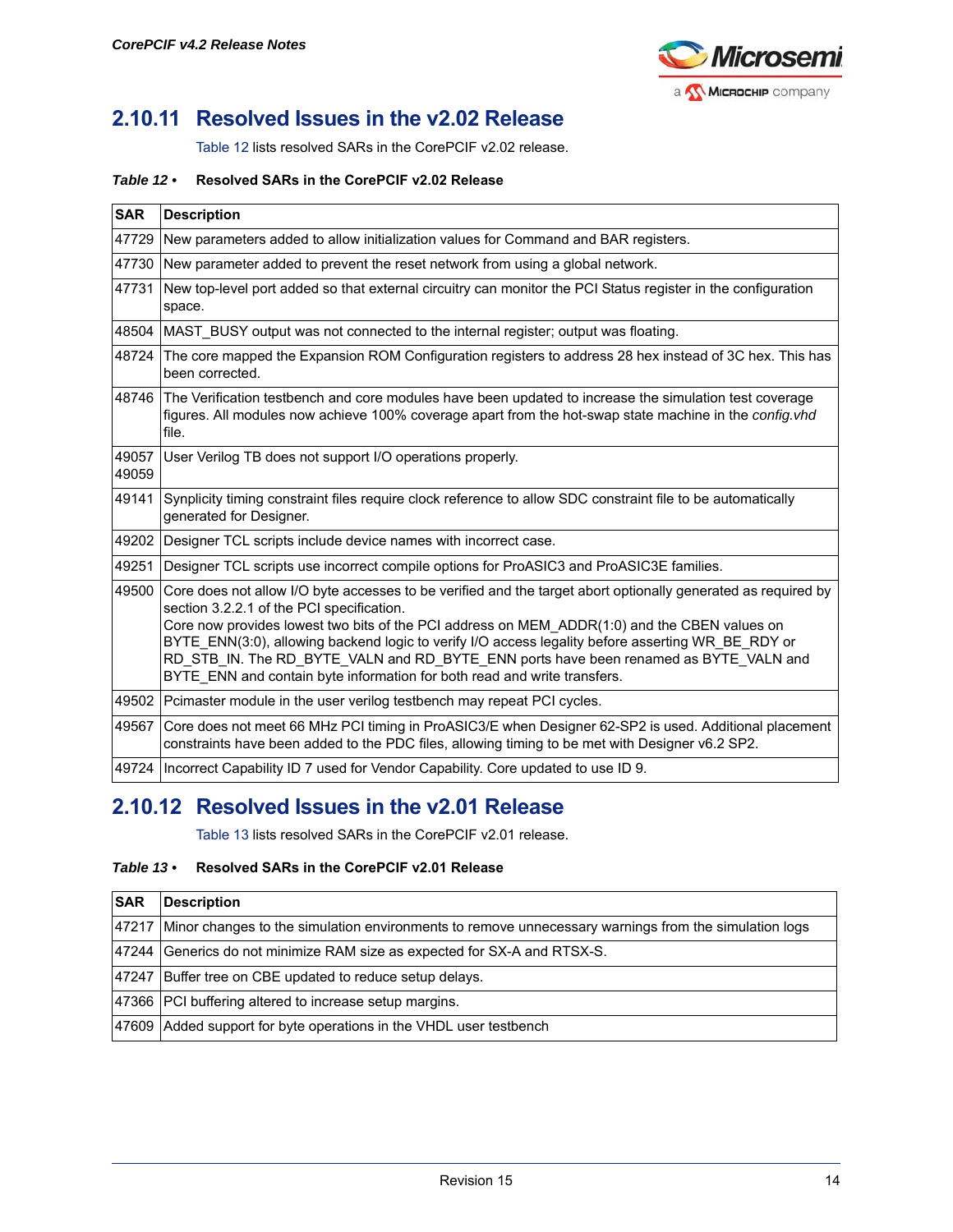

## <span id="page-13-0"></span>**2.10.11 Resolved Issues in the v2.02 Release**

[Table 12](#page-13-2) lists resolved SARs in the CorePCIF v2.02 release.

#### <span id="page-13-2"></span>*Table 12 •* **Resolved SARs in the CorePCIF v2.02 Release**

| <b>SAR</b>     | <b>Description</b>                                                                                                                                                                                                                                                                                                                                                                                                                                                                                                                  |
|----------------|-------------------------------------------------------------------------------------------------------------------------------------------------------------------------------------------------------------------------------------------------------------------------------------------------------------------------------------------------------------------------------------------------------------------------------------------------------------------------------------------------------------------------------------|
| 47729          | New parameters added to allow initialization values for Command and BAR registers.                                                                                                                                                                                                                                                                                                                                                                                                                                                  |
| 47730          | New parameter added to prevent the reset network from using a global network.                                                                                                                                                                                                                                                                                                                                                                                                                                                       |
| 47731          | New top-level port added so that external circuitry can monitor the PCI Status register in the configuration<br>space.                                                                                                                                                                                                                                                                                                                                                                                                              |
| 48504          | MAST BUSY output was not connected to the internal register; output was floating.                                                                                                                                                                                                                                                                                                                                                                                                                                                   |
| 48724          | The core mapped the Expansion ROM Configuration registers to address 28 hex instead of 3C hex. This has<br>been corrected.                                                                                                                                                                                                                                                                                                                                                                                                          |
| 48746          | The Verification testbench and core modules have been updated to increase the simulation test coverage<br>figures. All modules now achieve 100% coverage apart from the hot-swap state machine in the config.vhd<br>file.                                                                                                                                                                                                                                                                                                           |
| 49057<br>49059 | User Verilog TB does not support I/O operations properly.                                                                                                                                                                                                                                                                                                                                                                                                                                                                           |
| 49141          | Synplicity timing constraint files require clock reference to allow SDC constraint file to be automatically<br>generated for Designer.                                                                                                                                                                                                                                                                                                                                                                                              |
| 49202          | Designer TCL scripts include device names with incorrect case.                                                                                                                                                                                                                                                                                                                                                                                                                                                                      |
| 49251          | Designer TCL scripts use incorrect compile options for ProASIC3 and ProASIC3E families.                                                                                                                                                                                                                                                                                                                                                                                                                                             |
| 49500          | Core does not allow I/O byte accesses to be verified and the target abort optionally generated as required by<br>section 3.2.2.1 of the PCI specification.<br>Core now provides lowest two bits of the PCI address on MEM ADDR(1:0) and the CBEN values on<br>BYTE_ENN(3:0), allowing backend logic to verify I/O access legality before asserting WR_BE_RDY or<br>RD STB IN. The RD BYTE VALN and RD BYTE ENN ports have been renamed as BYTE VALN and<br>BYTE_ENN and contain byte information for both read and write transfers. |
| 49502          | Pcimaster module in the user verilog testbench may repeat PCI cycles.                                                                                                                                                                                                                                                                                                                                                                                                                                                               |
| 49567          | Core does not meet 66 MHz PCI timing in ProASIC3/E when Designer 62-SP2 is used. Additional placement<br>constraints have been added to the PDC files, allowing timing to be met with Designer v6.2 SP2.                                                                                                                                                                                                                                                                                                                            |
|                | 49724   Incorrect Capability ID 7 used for Vendor Capability. Core updated to use ID 9.                                                                                                                                                                                                                                                                                                                                                                                                                                             |

## <span id="page-13-1"></span>**2.10.12 Resolved Issues in the v2.01 Release**

[Table 13](#page-13-3) lists resolved SARs in the CorePCIF v2.01 release.

#### <span id="page-13-3"></span>*Table 13 •* **Resolved SARs in the CorePCIF v2.01 Release**

| <b>SAR</b> | Description                                                                                                |
|------------|------------------------------------------------------------------------------------------------------------|
|            | 47217 Minor changes to the simulation environments to remove unnecessary warnings from the simulation logs |
|            | 47244 Generics do not minimize RAM size as expected for SX-A and RTSX-S.                                   |
|            | 47247 Buffer tree on CBE updated to reduce setup delays.                                                   |
|            | 47366 PCI buffering altered to increase setup margins.                                                     |
|            | 47609 Added support for byte operations in the VHDL user testbench                                         |